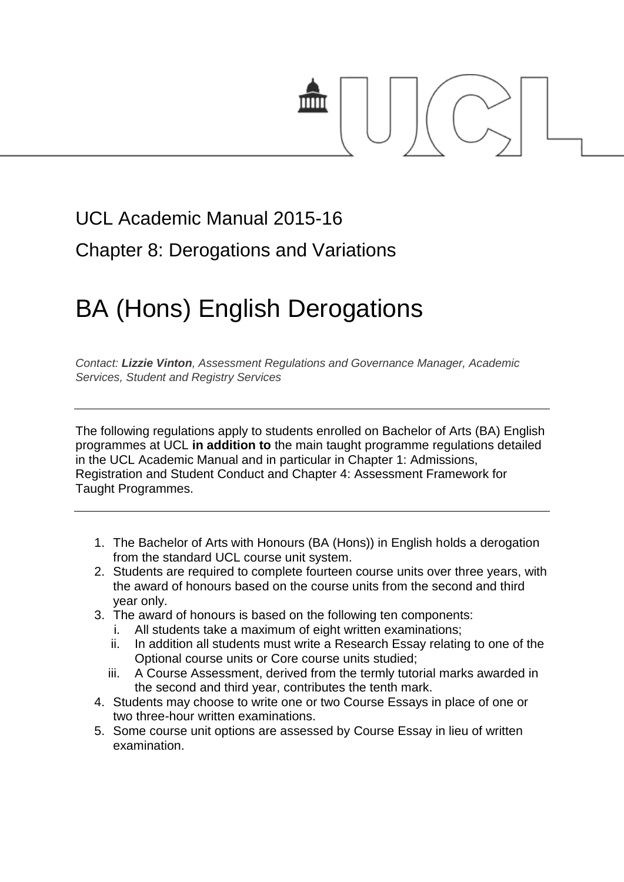

## UCL Academic Manual 2015-16 Chapter 8: Derogations and Variations

# BA (Hons) English Derogations

*Contact: [Lizzie Vinton](mailto:s.hinton@ucl.ac.uk), Assessment Regulations and Governance Manager, Academic Services, Student and Registry Services*

The following regulations apply to students enrolled on Bachelor of Arts (BA) English programmes at UCL **in addition to** the main taught programme regulations detailed in the UCL Academic Manual and in particular in Chapter 1: Admissions, Registration and Student Conduct and Chapter 4: Assessment Framework for Taught Programmes.

- 1. The Bachelor of Arts with Honours (BA (Hons)) in English holds a derogation from the standard UCL course unit system.
- 2. Students are required to complete fourteen course units over three years, with the award of honours based on the course units from the second and third year only.
- 3. The award of honours is based on the following ten components:
	- i. All students take a maximum of eight written examinations;
	- ii. In addition all students must write a Research Essay relating to one of the Optional course units or Core course units studied;
	- iii. A Course Assessment, derived from the termly tutorial marks awarded in the second and third year, contributes the tenth mark.
- 4. Students may choose to write one or two Course Essays in place of one or two three-hour written examinations.
- 5. Some course unit options are assessed by Course Essay in lieu of written examination.